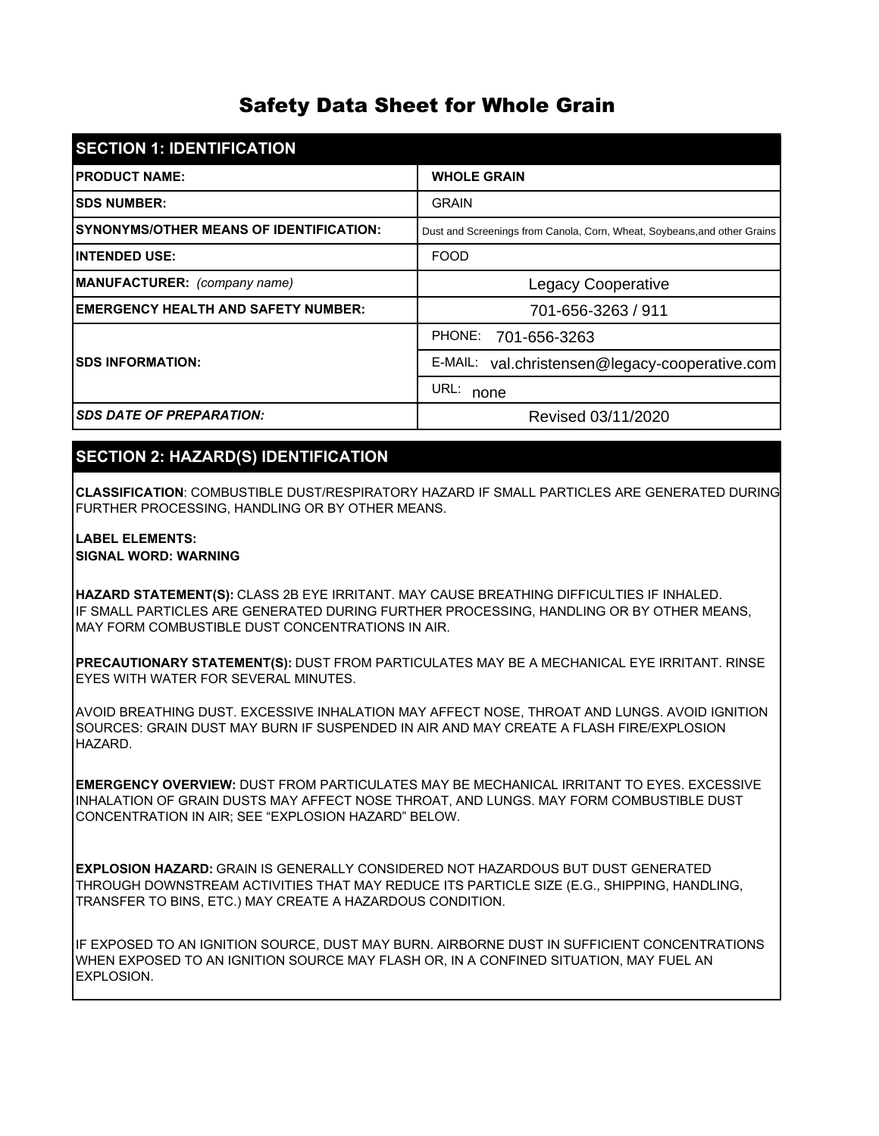# Safety Data Sheet for Whole Grain

| <b>SECTION 1: IDENTIFICATION</b>               |                                                                          |  |
|------------------------------------------------|--------------------------------------------------------------------------|--|
| <b>IPRODUCT NAME:</b>                          | <b>WHOLE GRAIN</b>                                                       |  |
| <b>ISDS NUMBER:</b>                            | <b>GRAIN</b>                                                             |  |
| <b>SYNONYMS/OTHER MEANS OF IDENTIFICATION:</b> | Dust and Screenings from Canola, Corn, Wheat, Soybeans, and other Grains |  |
| <b>INTENDED USE:</b>                           | <b>FOOD</b>                                                              |  |
| MANUFACTURER: (company name)                   | <b>Legacy Cooperative</b>                                                |  |
| <b>EMERGENCY HEALTH AND SAFETY NUMBER:</b>     | 701-656-3263 / 911                                                       |  |
|                                                | PHONE:<br>701-656-3263                                                   |  |
| <b>ISDS INFORMATION:</b>                       | E-MAIL:<br>val.christensen@legacy-cooperative.com                        |  |
|                                                | URL:<br>none                                                             |  |
| <b>SDS DATE OF PREPARATION:</b>                | Revised 03/11/2020                                                       |  |

# **SECTION 2: HAZARD(S) IDENTIFICATION**

**CLASSIFICATION**: COMBUSTIBLE DUST/RESPIRATORY HAZARD IF SMALL PARTICLES ARE GENERATED DURING FURTHER PROCESSING, HANDLING OR BY OTHER MEANS.

#### **LABEL ELEMENTS:**

#### **SIGNAL WORD: WARNING**

IF SMALL PARTICLES ARE GENERATED DURING FURTHER PROCESSING, HANDLING OR BY OTHER MEANS, MAY FORM COMBUSTIBLE DUST CONCENTRATIONS IN AIR. **HAZARD STATEMENT(S):** CLASS 2B EYE IRRITANT. MAY CAUSE BREATHING DIFFICULTIES IF INHALED.

**PRECAUTIONARY STATEMENT(S):** DUST FROM PARTICULATES MAY BE A MECHANICAL EYE IRRITANT. RINSE EYES WITH WATER FOR SEVERAL MINUTES.

AVOID BREATHING DUST. EXCESSIVE INHALATION MAY AFFECT NOSE, THROAT AND LUNGS. AVOID IGNITION SOURCES: GRAIN DUST MAY BURN IF SUSPENDED IN AIR AND MAY CREATE A FLASH FIRE/EXPLOSION HAZARD.

**EMERGENCY OVERVIEW:** DUST FROM PARTICULATES MAY BE MECHANICAL IRRITANT TO EYES. EXCESSIVE INHALATION OF GRAIN DUSTS MAY AFFECT NOSE THROAT, AND LUNGS. MAY FORM COMBUSTIBLE DUST CONCENTRATION IN AIR; SEE "EXPLOSION HAZARD" BELOW.

**EXPLOSION HAZARD:** GRAIN IS GENERALLY CONSIDERED NOT HAZARDOUS BUT DUST GENERATED THROUGH DOWNSTREAM ACTIVITIES THAT MAY REDUCE ITS PARTICLE SIZE (E.G., SHIPPING, HANDLING, TRANSFER TO BINS, ETC.) MAY CREATE A HAZARDOUS CONDITION.

IF EXPOSED TO AN IGNITION SOURCE, DUST MAY BURN. AIRBORNE DUST IN SUFFICIENT CONCENTRATIONS WHEN EXPOSED TO AN IGNITION SOURCE MAY FLASH OR, IN A CONFINED SITUATION, MAY FUEL AN EXPLOSION.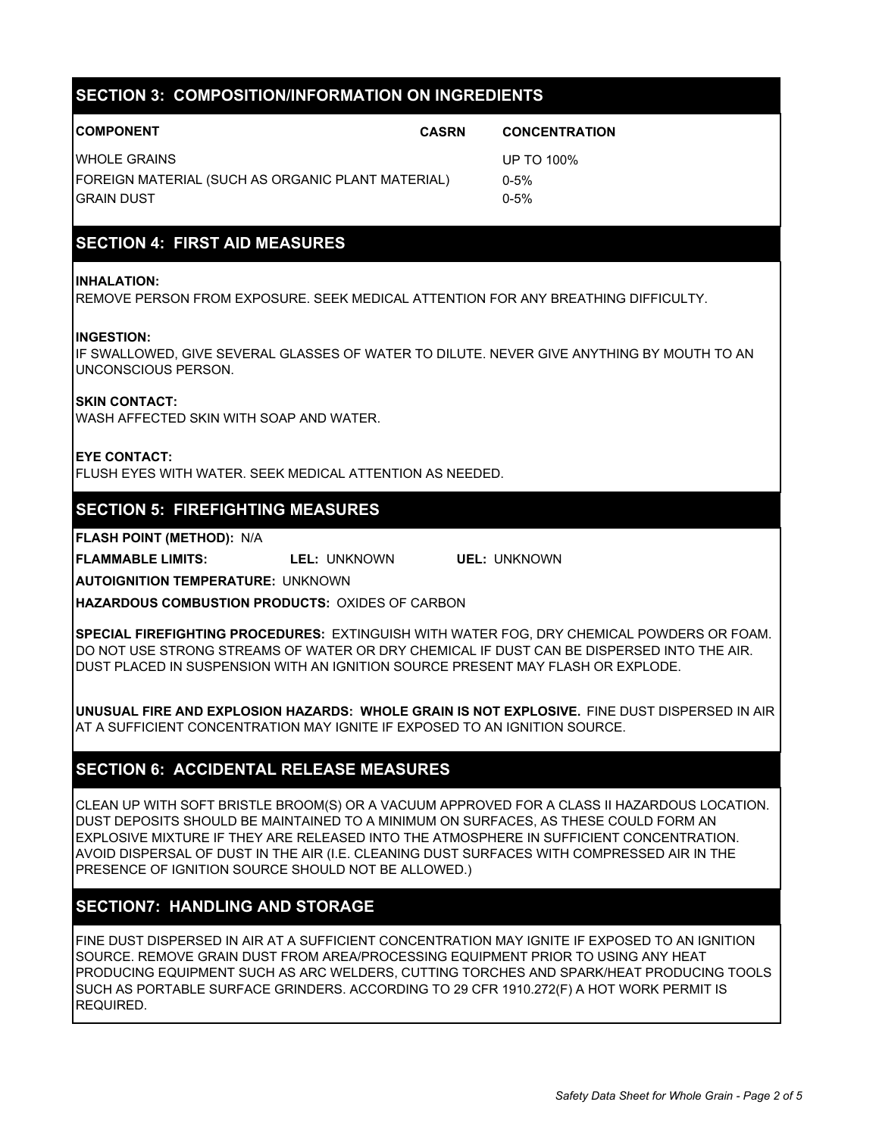| <b>SECTION 3: COMPOSITION/INFORMATION ON INGREDIENTS</b>               |              |                      |  |  |  |
|------------------------------------------------------------------------|--------------|----------------------|--|--|--|
|                                                                        |              |                      |  |  |  |
| <b>COMPONENT</b>                                                       | <b>CASRN</b> | <b>CONCENTRATION</b> |  |  |  |
| <b>WHOLE GRAINS</b>                                                    |              | UP TO 100%           |  |  |  |
| FOREIGN MATERIAL (SUCH AS ORGANIC PLANT MATERIAL)<br><b>GRAIN DUST</b> |              | $0 - 5%$             |  |  |  |
|                                                                        |              | $0 - 5%$             |  |  |  |
|                                                                        |              |                      |  |  |  |
|                                                                        |              |                      |  |  |  |

# **SECTION 4: FIRST AID MEASURES**

#### **INHALATION:**

REMOVE PERSON FROM EXPOSURE. SEEK MEDICAL ATTENTION FOR ANY BREATHING DIFFICULTY.

#### **INGESTION:**

IF SWALLOWED, GIVE SEVERAL GLASSES OF WATER TO DILUTE. NEVER GIVE ANYTHING BY MOUTH TO AN UNCONSCIOUS PERSON.

#### **SKIN CONTACT:**

WASH AFFECTED SKIN WITH SOAP AND WATER.

#### **EYE CONTACT:**

FLUSH EYES WITH WATER. SEEK MEDICAL ATTENTION AS NEEDED.

### **SECTION 5: FIREFIGHTING MEASURES**

**FLASH POINT (METHOD):** N/A

**FLAMMABLE LIMITS: LEL:** UNKNOWN **UEL:** UNKNOWN

**AUTOIGNITION TEMPERATURE:** UNKNOWN

**HAZARDOUS COMBUSTION PRODUCTS:** OXIDES OF CARBON

**SPECIAL FIREFIGHTING PROCEDURES:** EXTINGUISH WITH WATER FOG, DRY CHEMICAL POWDERS OR FOAM. DO NOT USE STRONG STREAMS OF WATER OR DRY CHEMICAL IF DUST CAN BE DISPERSED INTO THE AIR. DUST PLACED IN SUSPENSION WITH AN IGNITION SOURCE PRESENT MAY FLASH OR EXPLODE.

**UNUSUAL FIRE AND EXPLOSION HAZARDS: WHOLE GRAIN IS NOT EXPLOSIVE.** FINE DUST DISPERSED IN AIR AT A SUFFICIENT CONCENTRATION MAY IGNITE IF EXPOSED TO AN IGNITION SOURCE.

### **SECTION 6: ACCIDENTAL RELEASE MEASURES**

CLEAN UP WITH SOFT BRISTLE BROOM(S) OR A VACUUM APPROVED FOR A CLASS II HAZARDOUS LOCATION. DUST DEPOSITS SHOULD BE MAINTAINED TO A MINIMUM ON SURFACES, AS THESE COULD FORM AN EXPLOSIVE MIXTURE IF THEY ARE RELEASED INTO THE ATMOSPHERE IN SUFFICIENT CONCENTRATION. AVOID DISPERSAL OF DUST IN THE AIR (I.E. CLEANING DUST SURFACES WITH COMPRESSED AIR IN THE PRESENCE OF IGNITION SOURCE SHOULD NOT BE ALLOWED.)

### **SECTION7: HANDLING AND STORAGE**

FINE DUST DISPERSED IN AIR AT A SUFFICIENT CONCENTRATION MAY IGNITE IF EXPOSED TO AN IGNITION SOURCE. REMOVE GRAIN DUST FROM AREA/PROCESSING EQUIPMENT PRIOR TO USING ANY HEAT PRODUCING EQUIPMENT SUCH AS ARC WELDERS, CUTTING TORCHES AND SPARK/HEAT PRODUCING TOOLS SUCH AS PORTABLE SURFACE GRINDERS. ACCORDING TO 29 CFR 1910.272(F) A HOT WORK PERMIT IS REQUIRED.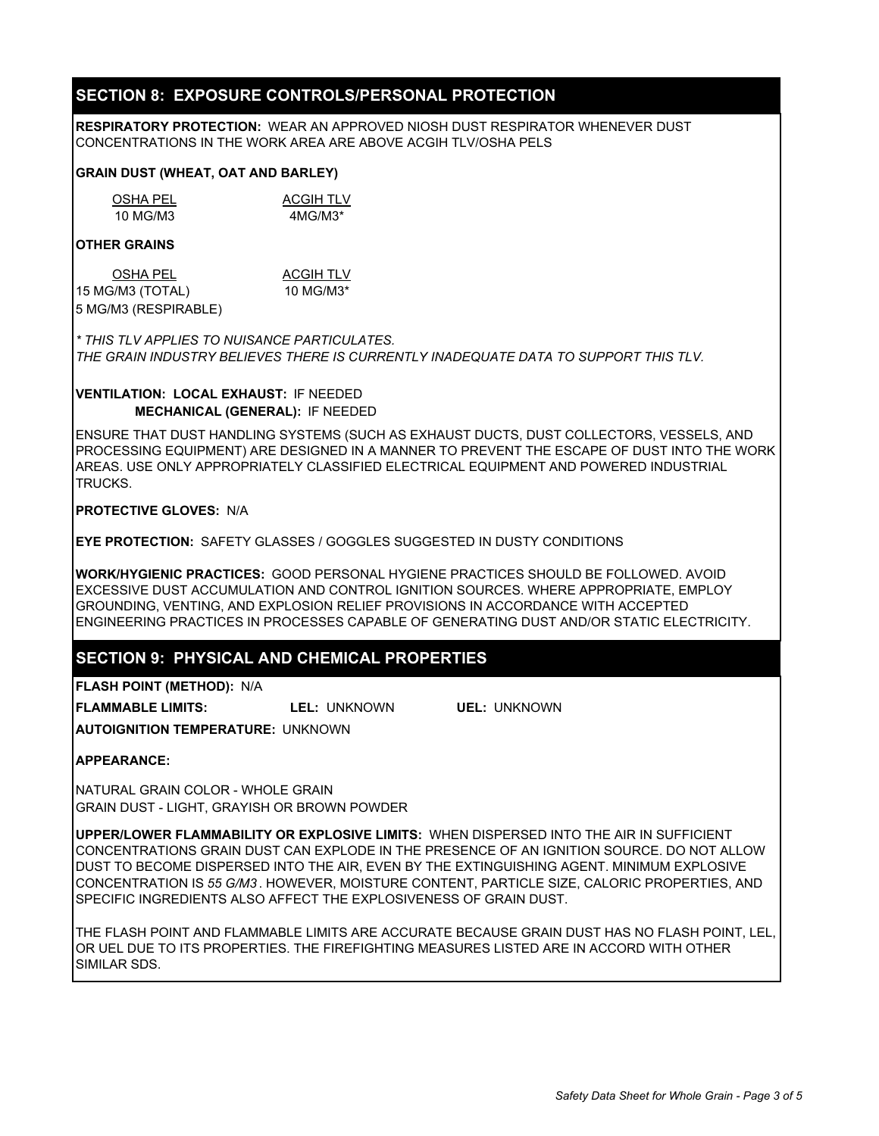### **SECTION 8: EXPOSURE CONTROLS/PERSONAL PROTECTION**

**RESPIRATORY PROTECTION:** WEAR AN APPROVED NIOSH DUST RESPIRATOR WHENEVER DUST CONCENTRATIONS IN THE WORK AREA ARE ABOVE ACGIH TLV/OSHA PELS

#### **GRAIN DUST (WHEAT, OAT AND BARLEY)**

| OSHA PEL | <b>ACGIH TLV</b> |
|----------|------------------|
| 10 MG/M3 | $4MG/M3*$        |

#### **OTHER GRAINS**

| <b>OSHA PEL</b>      | <b>ACGIH TLV</b> |
|----------------------|------------------|
| 15 MG/M3 (TOTAL)     | 10 MG/M3*        |
| 5 MG/M3 (RESPIRABLE) |                  |

*\* THIS TLV APPLIES TO NUISANCE PARTICULATES. THE GRAIN INDUSTRY BELIEVES THERE IS CURRENTLY INADEQUATE DATA TO SUPPORT THIS TLV.*

#### **VENTILATION: LOCAL EXHAUST:** IF NEEDED **MECHANICAL (GENERAL):** IF NEEDED

ENSURE THAT DUST HANDLING SYSTEMS (SUCH AS EXHAUST DUCTS, DUST COLLECTORS, VESSELS, AND PROCESSING EQUIPMENT) ARE DESIGNED IN A MANNER TO PREVENT THE ESCAPE OF DUST INTO THE WORK AREAS. USE ONLY APPROPRIATELY CLASSIFIED ELECTRICAL EQUIPMENT AND POWERED INDUSTRIAL TRUCKS.

#### **PROTECTIVE GLOVES:** N/A

**EYE PROTECTION:** SAFETY GLASSES / GOGGLES SUGGESTED IN DUSTY CONDITIONS

**WORK/HYGIENIC PRACTICES:** GOOD PERSONAL HYGIENE PRACTICES SHOULD BE FOLLOWED. AVOID EXCESSIVE DUST ACCUMULATION AND CONTROL IGNITION SOURCES. WHERE APPROPRIATE, EMPLOY GROUNDING, VENTING, AND EXPLOSION RELIEF PROVISIONS IN ACCORDANCE WITH ACCEPTED ENGINEERING PRACTICES IN PROCESSES CAPABLE OF GENERATING DUST AND/OR STATIC ELECTRICITY.

### **SECTION 9: PHYSICAL AND CHEMICAL PROPERTIES**

**FLASH POINT (METHOD):** N/A

**FLAMMABLE LIMITS: LEL:** UNKNOWN **UEL:** UNKNOWN

**AUTOIGNITION TEMPERATURE:** UNKNOWN

#### **APPEARANCE:**

NATURAL GRAIN COLOR - WHOLE GRAIN GRAIN DUST - LIGHT, GRAYISH OR BROWN POWDER

**UPPER/LOWER FLAMMABILITY OR EXPLOSIVE LIMITS:** WHEN DISPERSED INTO THE AIR IN SUFFICIENT CONCENTRATIONS GRAIN DUST CAN EXPLODE IN THE PRESENCE OF AN IGNITION SOURCE. DO NOT ALLOW DUST TO BECOME DISPERSED INTO THE AIR, EVEN BY THE EXTINGUISHING AGENT. MINIMUM EXPLOSIVE CONCENTRATION IS *55 G/M3* . HOWEVER, MOISTURE CONTENT, PARTICLE SIZE, CALORIC PROPERTIES, AND SPECIFIC INGREDIENTS ALSO AFFECT THE EXPLOSIVENESS OF GRAIN DUST.

THE FLASH POINT AND FLAMMABLE LIMITS ARE ACCURATE BECAUSE GRAIN DUST HAS NO FLASH POINT, LEL, OR UEL DUE TO ITS PROPERTIES. THE FIREFIGHTING MEASURES LISTED ARE IN ACCORD WITH OTHER SIMILAR SDS.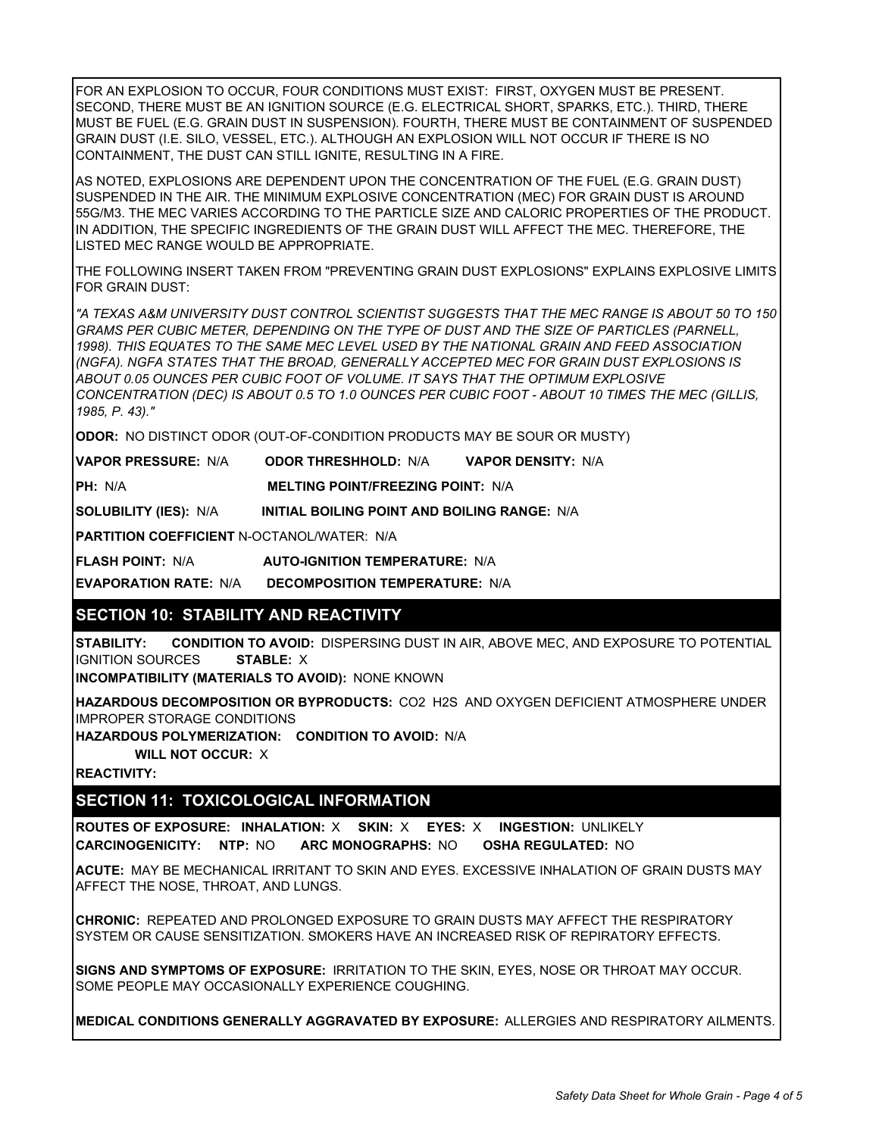FOR AN EXPLOSION TO OCCUR, FOUR CONDITIONS MUST EXIST: FIRST, OXYGEN MUST BE PRESENT. SECOND, THERE MUST BE AN IGNITION SOURCE (E.G. ELECTRICAL SHORT, SPARKS, ETC.). THIRD, THERE MUST BE FUEL (E.G. GRAIN DUST IN SUSPENSION). FOURTH, THERE MUST BE CONTAINMENT OF SUSPENDED GRAIN DUST (I.E. SILO, VESSEL, ETC.). ALTHOUGH AN EXPLOSION WILL NOT OCCUR IF THERE IS NO CONTAINMENT, THE DUST CAN STILL IGNITE, RESULTING IN A FIRE.

AS NOTED, EXPLOSIONS ARE DEPENDENT UPON THE CONCENTRATION OF THE FUEL (E.G. GRAIN DUST) SUSPENDED IN THE AIR. THE MINIMUM EXPLOSIVE CONCENTRATION (MEC) FOR GRAIN DUST IS AROUND 55G/M3. THE MEC VARIES ACCORDING TO THE PARTICLE SIZE AND CALORIC PROPERTIES OF THE PRODUCT. IN ADDITION, THE SPECIFIC INGREDIENTS OF THE GRAIN DUST WILL AFFECT THE MEC. THEREFORE, THE LISTED MEC RANGE WOULD BE APPROPRIATE.

THE FOLLOWING INSERT TAKEN FROM "PREVENTING GRAIN DUST EXPLOSIONS" EXPLAINS EXPLOSIVE LIMITS FOR GRAIN DUST:

*"A TEXAS A&M UNIVERSITY DUST CONTROL SCIENTIST SUGGESTS THAT THE MEC RANGE IS ABOUT 50 TO 150 GRAMS PER CUBIC METER, DEPENDING ON THE TYPE OF DUST AND THE SIZE OF PARTICLES (PARNELL, 1998). THIS EQUATES TO THE SAME MEC LEVEL USED BY THE NATIONAL GRAIN AND FEED ASSOCIATION (NGFA). NGFA STATES THAT THE BROAD, GENERALLY ACCEPTED MEC FOR GRAIN DUST EXPLOSIONS IS ABOUT 0.05 OUNCES PER CUBIC FOOT OF VOLUME. IT SAYS THAT THE OPTIMUM EXPLOSIVE CONCENTRATION (DEC) IS ABOUT 0.5 TO 1.0 OUNCES PER CUBIC FOOT - ABOUT 10 TIMES THE MEC (GILLIS, 1985, P. 43)."*

**ODOR:** NO DISTINCT ODOR (OUT-OF-CONDITION PRODUCTS MAY BE SOUR OR MUSTY)

| <b>VAPOR PRESSURE: N/A</b>                        | <b>ODOR THRESHHOLD: N/A</b>                         | <b>VAPOR DENSITY: N/A</b> |  |  |
|---------------------------------------------------|-----------------------------------------------------|---------------------------|--|--|
| PH: N/A                                           | <b>MELTING POINT/FREEZING POINT: N/A</b>            |                           |  |  |
| <b>SOLUBILITY (IES): N/A</b>                      | <b>INITIAL BOILING POINT AND BOILING RANGE: N/A</b> |                           |  |  |
| <b>PARTITION COEFFICIENT N-OCTANOL/WATER: N/A</b> |                                                     |                           |  |  |
| <b>FLASH POINT: N/A</b>                           | <b>AUTO-IGNITION TEMPERATURE: N/A</b>               |                           |  |  |
|                                                   |                                                     |                           |  |  |

**EVAPORATION RATE:** N/A **DECOMPOSITION TEMPERATURE:** N/A

# **SECTION 10: STABILITY AND REACTIVITY**

**STABILITY: CONDITION TO AVOID:** DISPERSING DUST IN AIR, ABOVE MEC, AND EXPOSURE TO POTENTIAL IGNITION SOURCES **STABLE:** X

**INCOMPATIBILITY (MATERIALS TO AVOID):** NONE KNOWN

**HAZARDOUS DECOMPOSITION OR BYPRODUCTS:** CO2 H2S AND OXYGEN DEFICIENT ATMOSPHERE UNDER IMPROPER STORAGE CONDITIONS

**HAZARDOUS POLYMERIZATION: CONDITION TO AVOID:** N/A

**WILL NOT OCCUR:** X

**REACTIVITY:**

# **SECTION 11: TOXICOLOGICAL INFORMATION**

**ROUTES OF EXPOSURE: INHALATION:** X **SKIN:** X **EYES:** X **INGESTION:** UNLIKELY **CARCINOGENICITY: NTP:** NO **ARC MONOGRAPHS:** NO **OSHA REGULATED:** NO

**ACUTE:** MAY BE MECHANICAL IRRITANT TO SKIN AND EYES. EXCESSIVE INHALATION OF GRAIN DUSTS MAY AFFECT THE NOSE, THROAT, AND LUNGS.

**CHRONIC:** REPEATED AND PROLONGED EXPOSURE TO GRAIN DUSTS MAY AFFECT THE RESPIRATORY SYSTEM OR CAUSE SENSITIZATION. SMOKERS HAVE AN INCREASED RISK OF REPIRATORY EFFECTS.

**SIGNS AND SYMPTOMS OF EXPOSURE:** IRRITATION TO THE SKIN, EYES, NOSE OR THROAT MAY OCCUR. SOME PEOPLE MAY OCCASIONALLY EXPERIENCE COUGHING.

**MEDICAL CONDITIONS GENERALLY AGGRAVATED BY EXPOSURE:** ALLERGIES AND RESPIRATORY AILMENTS.